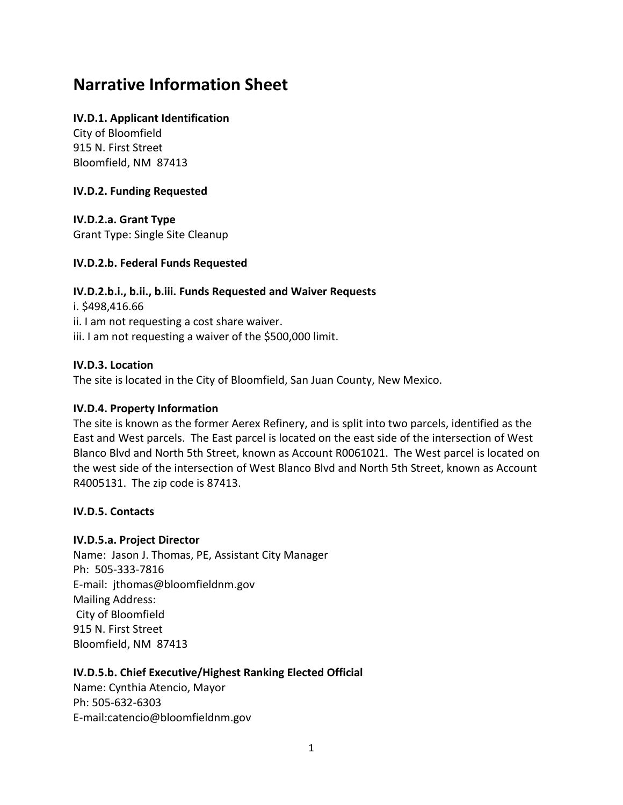# **Narrative Information Sheet**

#### **IV.D.1. Applicant Identification**

City of Bloomfield 915 N. First Street Bloomfield, NM 87413

#### **IV.D.2. Funding Requested**

**IV.D.2.a. Grant Type** Grant Type: Single Site Cleanup

## **IV.D.2.b. Federal Funds Requested**

# **IV.D.2.b.i., b.ii., b.iii. Funds Requested and Waiver Requests**

i. \$498,416.66 ii. I am not requesting a cost share waiver. iii. I am not requesting a waiver of the \$500,000 limit.

#### **IV.D.3. Location**

The site is located in the City of Bloomfield, San Juan County, New Mexico.

#### **IV.D.4. Property Information**

The site is known as the former Aerex Refinery, and is split into two parcels, identified as the East and West parcels. The East parcel is located on the east side of the intersection of West Blanco Blvd and North 5th Street, known as Account R0061021. The West parcel is located on the west side of the intersection of West Blanco Blvd and North 5th Street, known as Account R4005131. The zip code is 87413.

## **IV.D.5. Contacts**

#### **IV.D.5.a. Project Director**

Name: Jason J. Thomas, PE, Assistant City Manager Ph: 505-333-7816 E-mail: jthomas@bloomfieldnm.gov Mailing Address: City of Bloomfield 915 N. First Street Bloomfield, NM 87413

#### **IV.D.5.b. Chief Executive/Highest Ranking Elected Official**

Name: Cynthia Atencio, Mayor Ph: 505-632-6303 E-mail:catencio@bloomfieldnm.gov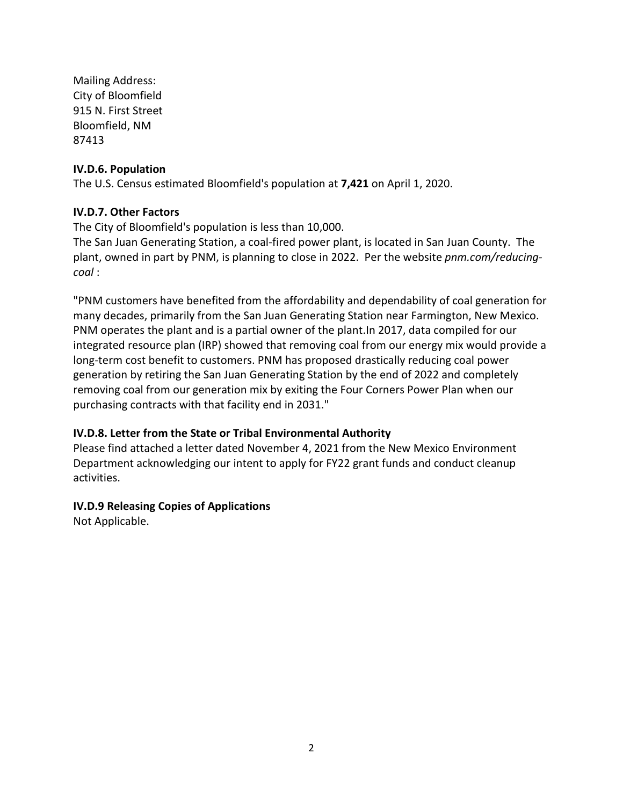Mailing Address: City of Bloomfield 915 N. First Street Bloomfield, NM 87413

#### **IV.D.6. Population**

The U.S. Census estimated Bloomfield's population at **7,421** on April 1, 2020.

#### **IV.D.7. Other Factors**

The City of Bloomfield's population is less than 10,000.

The San Juan Generating Station, a coal-fired power plant, is located in San Juan County. The plant, owned in part by PNM, is planning to close in 2022. Per the website *pnm.com/reducingcoal* :

"PNM customers have benefited from the affordability and dependability of coal generation for many decades, primarily from the San Juan Generating Station near Farmington, New Mexico. PNM operates the plant and is a partial owner of the plant.In 2017, data compiled for our integrated resource plan (IRP) showed that removing coal from our energy mix would provide a long-term cost benefit to customers. PNM has proposed drastically reducing coal power generation by retiring the San Juan Generating Station by the end of 2022 and completely removing coal from our generation mix by exiting the Four Corners Power Plan when our purchasing contracts with that facility end in 2031."

#### **IV.D.8. Letter from the State or Tribal Environmental Authority**

Please find attached a letter dated November 4, 2021 from the New Mexico Environment Department acknowledging our intent to apply for FY22 grant funds and conduct cleanup activities.

#### **IV.D.9 Releasing Copies of Applications**

Not Applicable.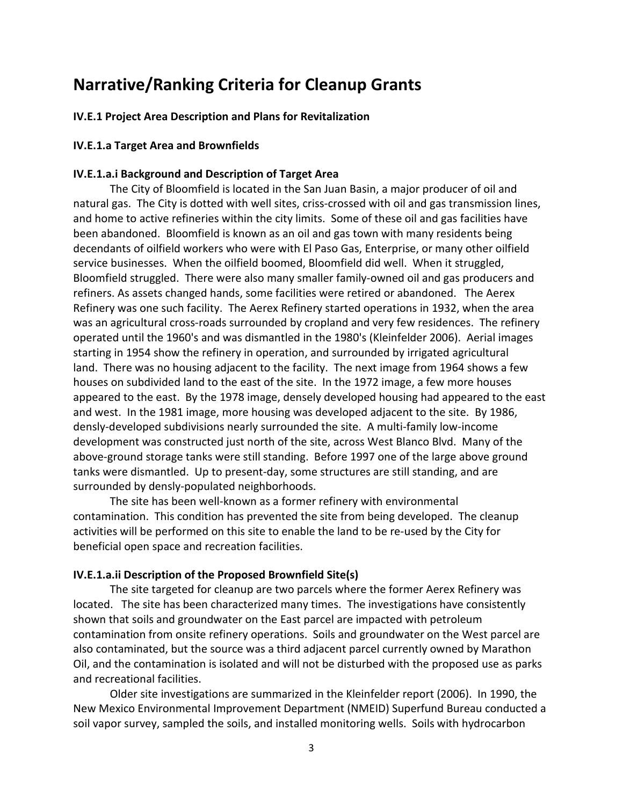# **Narrative/Ranking Criteria for Cleanup Grants**

#### **IV.E.1 Project Area Description and Plans for Revitalization**

#### **IV.E.1.a Target Area and Brownfields**

#### **IV.E.1.a.i Background and Description of Target Area**

The City of Bloomfield is located in the San Juan Basin, a major producer of oil and natural gas. The City is dotted with well sites, criss-crossed with oil and gas transmission lines, and home to active refineries within the city limits. Some of these oil and gas facilities have been abandoned. Bloomfield is known as an oil and gas town with many residents being decendants of oilfield workers who were with El Paso Gas, Enterprise, or many other oilfield service businesses. When the oilfield boomed, Bloomfield did well. When it struggled, Bloomfield struggled. There were also many smaller family-owned oil and gas producers and refiners. As assets changed hands, some facilities were retired or abandoned. The Aerex Refinery was one such facility. The Aerex Refinery started operations in 1932, when the area was an agricultural cross-roads surrounded by cropland and very few residences. The refinery operated until the 1960's and was dismantled in the 1980's (Kleinfelder 2006). Aerial images starting in 1954 show the refinery in operation, and surrounded by irrigated agricultural land. There was no housing adjacent to the facility. The next image from 1964 shows a few houses on subdivided land to the east of the site. In the 1972 image, a few more houses appeared to the east. By the 1978 image, densely developed housing had appeared to the east and west. In the 1981 image, more housing was developed adjacent to the site. By 1986, densly-developed subdivisions nearly surrounded the site. A multi-family low-income development was constructed just north of the site, across West Blanco Blvd. Many of the above-ground storage tanks were still standing. Before 1997 one of the large above ground tanks were dismantled. Up to present-day, some structures are still standing, and are surrounded by densly-populated neighborhoods.

The site has been well-known as a former refinery with environmental contamination. This condition has prevented the site from being developed. The cleanup activities will be performed on this site to enable the land to be re-used by the City for beneficial open space and recreation facilities.

#### **IV.E.1.a.ii Description of the Proposed Brownfield Site(s)**

The site targeted for cleanup are two parcels where the former Aerex Refinery was located. The site has been characterized many times. The investigations have consistently shown that soils and groundwater on the East parcel are impacted with petroleum contamination from onsite refinery operations. Soils and groundwater on the West parcel are also contaminated, but the source was a third adjacent parcel currently owned by Marathon Oil, and the contamination is isolated and will not be disturbed with the proposed use as parks and recreational facilities.

Older site investigations are summarized in the Kleinfelder report (2006). In 1990, the New Mexico Environmental Improvement Department (NMEID) Superfund Bureau conducted a soil vapor survey, sampled the soils, and installed monitoring wells. Soils with hydrocarbon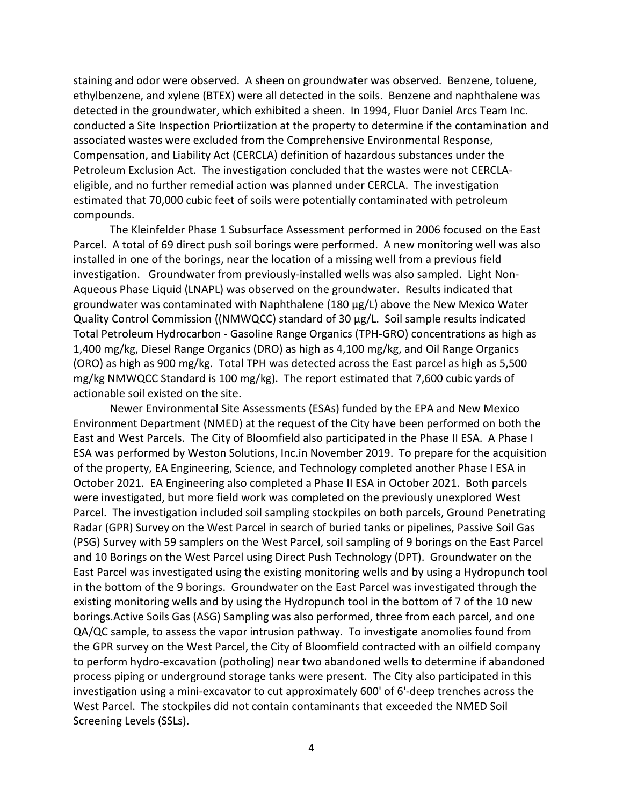staining and odor were observed. A sheen on groundwater was observed. Benzene, toluene, ethylbenzene, and xylene (BTEX) were all detected in the soils. Benzene and naphthalene was detected in the groundwater, which exhibited a sheen. In 1994, Fluor Daniel Arcs Team Inc. conducted a Site Inspection Priortiization at the property to determine if the contamination and associated wastes were excluded from the Comprehensive Environmental Response, Compensation, and Liability Act (CERCLA) definition of hazardous substances under the Petroleum Exclusion Act. The investigation concluded that the wastes were not CERCLAeligible, and no further remedial action was planned under CERCLA. The investigation estimated that 70,000 cubic feet of soils were potentially contaminated with petroleum compounds.

The Kleinfelder Phase 1 Subsurface Assessment performed in 2006 focused on the East Parcel. A total of 69 direct push soil borings were performed. A new monitoring well was also installed in one of the borings, near the location of a missing well from a previous field investigation. Groundwater from previously-installed wells was also sampled. Light Non-Aqueous Phase Liquid (LNAPL) was observed on the groundwater. Results indicated that groundwater was contaminated with Naphthalene (180 µg/L) above the New Mexico Water Quality Control Commission ((NMWQCC) standard of 30 µg/L. Soil sample results indicated Total Petroleum Hydrocarbon - Gasoline Range Organics (TPH-GRO) concentrations as high as 1,400 mg/kg, Diesel Range Organics (DRO) as high as 4,100 mg/kg, and Oil Range Organics (ORO) as high as 900 mg/kg. Total TPH was detected across the East parcel as high as 5,500 mg/kg NMWQCC Standard is 100 mg/kg). The report estimated that 7,600 cubic yards of actionable soil existed on the site.

Newer Environmental Site Assessments (ESAs) funded by the EPA and New Mexico Environment Department (NMED) at the request of the City have been performed on both the East and West Parcels. The City of Bloomfield also participated in the Phase II ESA. A Phase I ESA was performed by Weston Solutions, Inc.in November 2019. To prepare for the acquisition of the property, EA Engineering, Science, and Technology completed another Phase I ESA in October 2021. EA Engineering also completed a Phase II ESA in October 2021. Both parcels were investigated, but more field work was completed on the previously unexplored West Parcel. The investigation included soil sampling stockpiles on both parcels, Ground Penetrating Radar (GPR) Survey on the West Parcel in search of buried tanks or pipelines, Passive Soil Gas (PSG) Survey with 59 samplers on the West Parcel, soil sampling of 9 borings on the East Parcel and 10 Borings on the West Parcel using Direct Push Technology (DPT). Groundwater on the East Parcel was investigated using the existing monitoring wells and by using a Hydropunch tool in the bottom of the 9 borings. Groundwater on the East Parcel was investigated through the existing monitoring wells and by using the Hydropunch tool in the bottom of 7 of the 10 new borings.Active Soils Gas (ASG) Sampling was also performed, three from each parcel, and one QA/QC sample, to assess the vapor intrusion pathway. To investigate anomolies found from the GPR survey on the West Parcel, the City of Bloomfield contracted with an oilfield company to perform hydro-excavation (potholing) near two abandoned wells to determine if abandoned process piping or underground storage tanks were present. The City also participated in this investigation using a mini-excavator to cut approximately 600' of 6'-deep trenches across the West Parcel. The stockpiles did not contain contaminants that exceeded the NMED Soil Screening Levels (SSLs).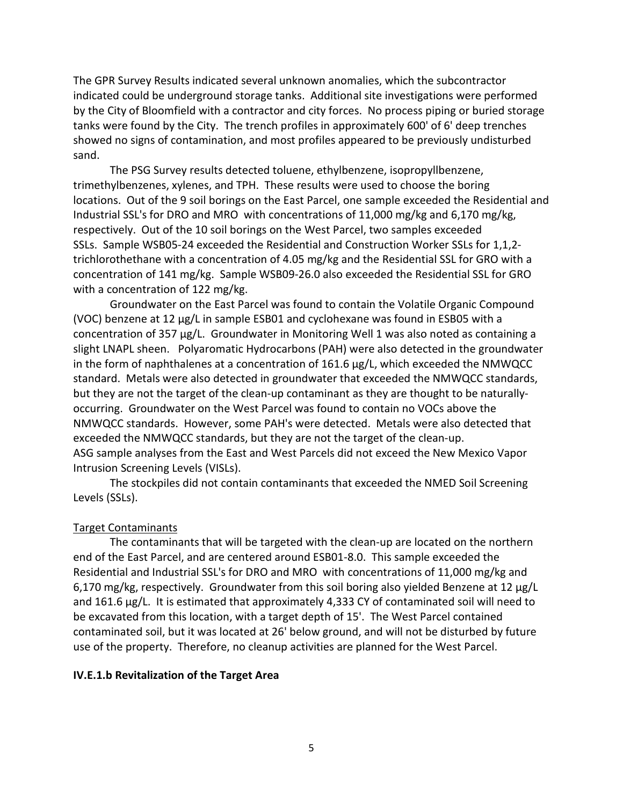The GPR Survey Results indicated several unknown anomalies, which the subcontractor indicated could be underground storage tanks. Additional site investigations were performed by the City of Bloomfield with a contractor and city forces. No process piping or buried storage tanks were found by the City. The trench profiles in approximately 600' of 6' deep trenches showed no signs of contamination, and most profiles appeared to be previously undisturbed sand.

The PSG Survey results detected toluene, ethylbenzene, isopropyllbenzene, trimethylbenzenes, xylenes, and TPH. These results were used to choose the boring locations. Out of the 9 soil borings on the East Parcel, one sample exceeded the Residential and Industrial SSL's for DRO and MRO with concentrations of 11,000 mg/kg and 6,170 mg/kg, respectively. Out of the 10 soil borings on the West Parcel, two samples exceeded SSLs. Sample WSB05-24 exceeded the Residential and Construction Worker SSLs for 1,1,2 trichlorothethane with a concentration of 4.05 mg/kg and the Residential SSL for GRO with a concentration of 141 mg/kg. Sample WSB09-26.0 also exceeded the Residential SSL for GRO with a concentration of 122 mg/kg.

Groundwater on the East Parcel was found to contain the Volatile Organic Compound (VOC) benzene at 12 µg/L in sample ESB01 and cyclohexane was found in ESB05 with a concentration of 357 µg/L. Groundwater in Monitoring Well 1 was also noted as containing a slight LNAPL sheen. Polyaromatic Hydrocarbons (PAH) were also detected in the groundwater in the form of naphthalenes at a concentration of 161.6 µg/L, which exceeded the NMWQCC standard. Metals were also detected in groundwater that exceeded the NMWQCC standards, but they are not the target of the clean-up contaminant as they are thought to be naturallyoccurring. Groundwater on the West Parcel was found to contain no VOCs above the NMWQCC standards. However, some PAH's were detected. Metals were also detected that exceeded the NMWQCC standards, but they are not the target of the clean-up. ASG sample analyses from the East and West Parcels did not exceed the New Mexico Vapor Intrusion Screening Levels (VISLs).

The stockpiles did not contain contaminants that exceeded the NMED Soil Screening Levels (SSLs).

#### Target Contaminants

The contaminants that will be targeted with the clean-up are located on the northern end of the East Parcel, and are centered around ESB01-8.0. This sample exceeded the Residential and Industrial SSL's for DRO and MRO with concentrations of 11,000 mg/kg and 6,170 mg/kg, respectively. Groundwater from this soil boring also yielded Benzene at 12 µg/L and 161.6 µg/L. It is estimated that approximately 4,333 CY of contaminated soil will need to be excavated from this location, with a target depth of 15'. The West Parcel contained contaminated soil, but it was located at 26' below ground, and will not be disturbed by future use of the property. Therefore, no cleanup activities are planned for the West Parcel.

#### **IV.E.1.b Revitalization of the Target Area**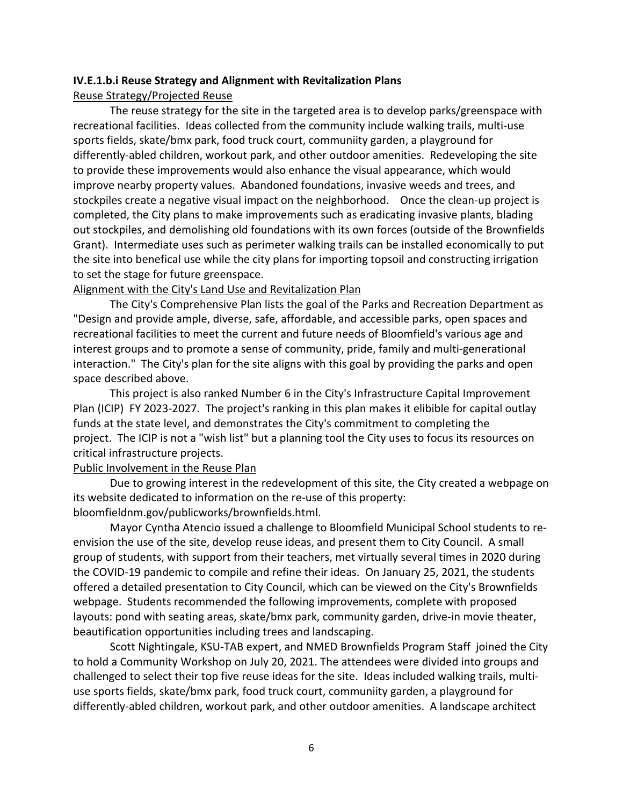#### **IV.E.1.b.i Reuse Strategy and Alignment with Revitalization Plans**

#### Reuse Strategy/Projected Reuse

The reuse strategy for the site in the targeted area is to develop parks/greenspace with recreational facilities. Ideas collected from the community include walking trails, multi-use sports fields, skate/bmx park, food truck court, communiity garden, a playground for differently-abled children, workout park, and other outdoor amenities. Redeveloping the site to provide these improvements would also enhance the visual appearance, which would improve nearby property values. Abandoned foundations, invasive weeds and trees, and stockpiles create a negative visual impact on the neighborhood. Once the clean-up project is completed, the City plans to make improvements such as eradicating invasive plants, blading out stockpiles, and demolishing old foundations with its own forces (outside of the Brownfields Grant). Intermediate uses such as perimeter walking trails can be installed economically to put the site into benefical use while the city plans for importing topsoil and constructing irrigation to set the stage for future greenspace.

#### Alignment with the City's Land Use and Revitalization Plan

The City's Comprehensive Plan lists the goal of the Parks and Recreation Department as "Design and provide ample, diverse, safe, affordable, and accessible parks, open spaces and recreational facilities to meet the current and future needs of Bloomfield's various age and interest groups and to promote a sense of community, pride, family and multi-generational interaction." The City's plan for the site aligns with this goal by providing the parks and open space described above.

This project is also ranked Number 6 in the City's Infrastructure Capital Improvement Plan (ICIP) FY 2023-2027. The project's ranking in this plan makes it elibible for capital outlay funds at the state level, and demonstrates the City's commitment to completing the project. The ICIP is not a "wish list" but a planning tool the City uses to focus its resources on critical infrastructure projects.

#### Public Involvement in the Reuse Plan

Due to growing interest in the redevelopment of this site, the City created a webpage on its website dedicated to information on the re-use of this property: bloomfieldnm.gov/publicworks/brownfields.html.

Mayor Cyntha Atencio issued a challenge to Bloomfield Municipal School students to reenvision the use of the site, develop reuse ideas, and present them to City Council. A small group of students, with support from their teachers, met virtually several times in 2020 during the COVID-19 pandemic to compile and refine their ideas. On January 25, 2021, the students offered a detailed presentation to City Council, which can be viewed on the City's Brownfields webpage. Students recommended the following improvements, complete with proposed layouts: pond with seating areas, skate/bmx park, community garden, drive-in movie theater, beautification opportunities including trees and landscaping.

Scott Nightingale, KSU-TAB expert, and NMED Brownfields Program Staff joined the City to hold a Community Workshop on July 20, 2021. The attendees were divided into groups and challenged to select their top five reuse ideas for the site. Ideas included walking trails, multiuse sports fields, skate/bmx park, food truck court, communiity garden, a playground for differently-abled children, workout park, and other outdoor amenities. A landscape architect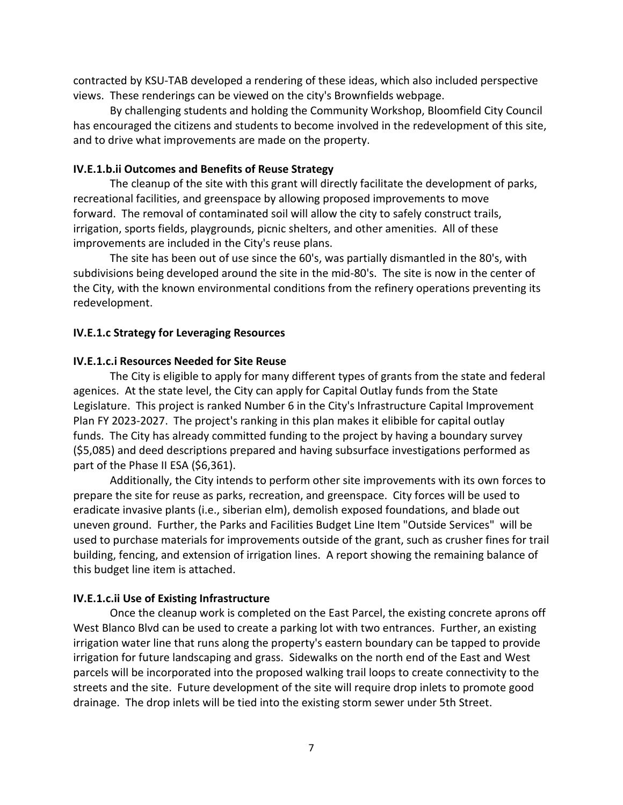contracted by KSU-TAB developed a rendering of these ideas, which also included perspective views. These renderings can be viewed on the city's Brownfields webpage.

By challenging students and holding the Community Workshop, Bloomfield City Council has encouraged the citizens and students to become involved in the redevelopment of this site, and to drive what improvements are made on the property.

#### **IV.E.1.b.ii Outcomes and Benefits of Reuse Strategy**

The cleanup of the site with this grant will directly facilitate the development of parks, recreational facilities, and greenspace by allowing proposed improvements to move forward. The removal of contaminated soil will allow the city to safely construct trails, irrigation, sports fields, playgrounds, picnic shelters, and other amenities. All of these improvements are included in the City's reuse plans.

The site has been out of use since the 60's, was partially dismantled in the 80's, with subdivisions being developed around the site in the mid-80's. The site is now in the center of the City, with the known environmental conditions from the refinery operations preventing its redevelopment.

#### **IV.E.1.c Strategy for Leveraging Resources**

#### **IV.E.1.c.i Resources Needed for Site Reuse**

The City is eligible to apply for many different types of grants from the state and federal agenices. At the state level, the City can apply for Capital Outlay funds from the State Legislature. This project is ranked Number 6 in the City's Infrastructure Capital Improvement Plan FY 2023-2027. The project's ranking in this plan makes it elibible for capital outlay funds. The City has already committed funding to the project by having a boundary survey (\$5,085) and deed descriptions prepared and having subsurface investigations performed as part of the Phase II ESA (\$6,361).

Additionally, the City intends to perform other site improvements with its own forces to prepare the site for reuse as parks, recreation, and greenspace. City forces will be used to eradicate invasive plants (i.e., siberian elm), demolish exposed foundations, and blade out uneven ground. Further, the Parks and Facilities Budget Line Item "Outside Services" will be used to purchase materials for improvements outside of the grant, such as crusher fines for trail building, fencing, and extension of irrigation lines. A report showing the remaining balance of this budget line item is attached.

#### **IV.E.1.c.ii Use of Existing Infrastructure**

Once the cleanup work is completed on the East Parcel, the existing concrete aprons off West Blanco Blvd can be used to create a parking lot with two entrances. Further, an existing irrigation water line that runs along the property's eastern boundary can be tapped to provide irrigation for future landscaping and grass. Sidewalks on the north end of the East and West parcels will be incorporated into the proposed walking trail loops to create connectivity to the streets and the site. Future development of the site will require drop inlets to promote good drainage. The drop inlets will be tied into the existing storm sewer under 5th Street.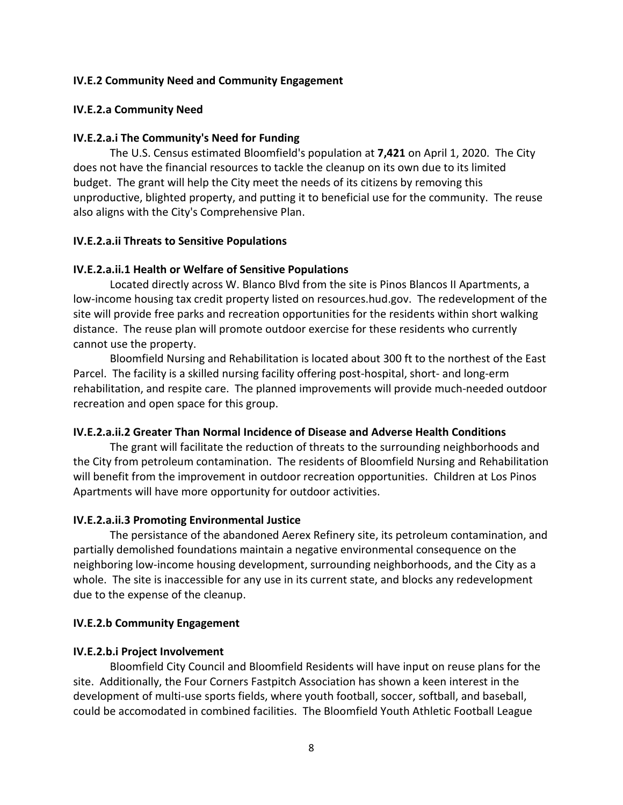#### **IV.E.2 Community Need and Community Engagement**

#### **IV.E.2.a Community Need**

#### **IV.E.2.a.i The Community's Need for Funding**

The U.S. Census estimated Bloomfield's population at **7,421** on April 1, 2020. The City does not have the financial resources to tackle the cleanup on its own due to its limited budget. The grant will help the City meet the needs of its citizens by removing this unproductive, blighted property, and putting it to beneficial use for the community. The reuse also aligns with the City's Comprehensive Plan.

#### **IV.E.2.a.ii Threats to Sensitive Populations**

#### **IV.E.2.a.ii.1 Health or Welfare of Sensitive Populations**

Located directly across W. Blanco Blvd from the site is Pinos Blancos II Apartments, a low-income housing tax credit property listed on resources.hud.gov. The redevelopment of the site will provide free parks and recreation opportunities for the residents within short walking distance. The reuse plan will promote outdoor exercise for these residents who currently cannot use the property.

Bloomfield Nursing and Rehabilitation is located about 300 ft to the northest of the East Parcel. The facility is a skilled nursing facility offering post-hospital, short- and long-erm rehabilitation, and respite care. The planned improvements will provide much-needed outdoor recreation and open space for this group.

#### **IV.E.2.a.ii.2 Greater Than Normal Incidence of Disease and Adverse Health Conditions**

The grant will facilitate the reduction of threats to the surrounding neighborhoods and the City from petroleum contamination. The residents of Bloomfield Nursing and Rehabilitation will benefit from the improvement in outdoor recreation opportunities. Children at Los Pinos Apartments will have more opportunity for outdoor activities.

#### **IV.E.2.a.ii.3 Promoting Environmental Justice**

The persistance of the abandoned Aerex Refinery site, its petroleum contamination, and partially demolished foundations maintain a negative environmental consequence on the neighboring low-income housing development, surrounding neighborhoods, and the City as a whole. The site is inaccessible for any use in its current state, and blocks any redevelopment due to the expense of the cleanup.

#### **IV.E.2.b Community Engagement**

#### **IV.E.2.b.i Project Involvement**

Bloomfield City Council and Bloomfield Residents will have input on reuse plans for the site. Additionally, the Four Corners Fastpitch Association has shown a keen interest in the development of multi-use sports fields, where youth football, soccer, softball, and baseball, could be accomodated in combined facilities. The Bloomfield Youth Athletic Football League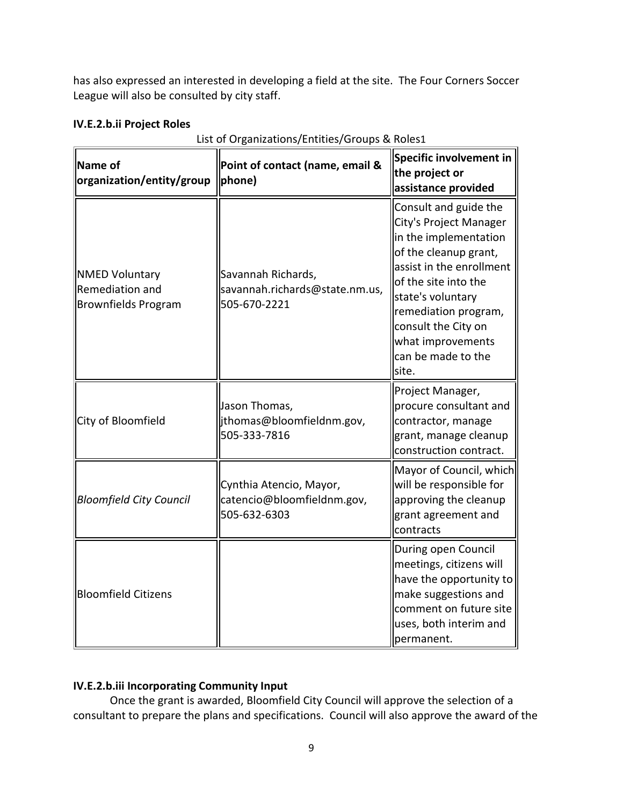has also expressed an interested in developing a field at the site. The Four Corners Soccer League will also be consulted by city staff.

## **IV.E.2.b.ii Project Roles**

| Name of<br>organization/entity/group                                   | Point of contact (name, email &<br>phone)                             | Specific involvement in<br>the project or<br>assistance provided                                                                                                                                                                                                              |  |  |
|------------------------------------------------------------------------|-----------------------------------------------------------------------|-------------------------------------------------------------------------------------------------------------------------------------------------------------------------------------------------------------------------------------------------------------------------------|--|--|
| <b>NMED Voluntary</b><br>Remediation and<br><b>Brownfields Program</b> | Savannah Richards,<br>savannah.richards@state.nm.us,<br>505-670-2221  | Consult and guide the<br>City's Project Manager<br>in the implementation<br>of the cleanup grant,<br>assist in the enrollment<br>of the site into the<br>state's voluntary<br>remediation program,<br>consult the City on<br>what improvements<br>can be made to the<br>site. |  |  |
| City of Bloomfield                                                     | Jason Thomas,<br>jthomas@bloomfieldnm.gov,<br>505-333-7816            | Project Manager,<br>procure consultant and<br>contractor, manage<br>grant, manage cleanup<br>construction contract.                                                                                                                                                           |  |  |
| <b>Bloomfield City Council</b>                                         | Cynthia Atencio, Mayor,<br>catencio@bloomfieldnm.gov,<br>505-632-6303 | Mayor of Council, which<br>will be responsible for<br>approving the cleanup<br>grant agreement and<br>contracts                                                                                                                                                               |  |  |
| <b>Bloomfield Citizens</b>                                             |                                                                       | During open Council<br>meetings, citizens will<br>have the opportunity to<br>make suggestions and<br>comment on future site<br>uses, both interim and<br>permanent.                                                                                                           |  |  |

## List of Organizations/Entities/Groups & Roles1

# **IV.E.2.b.iii Incorporating Community Input**

Once the grant is awarded, Bloomfield City Council will approve the selection of a consultant to prepare the plans and specifications. Council will also approve the award of the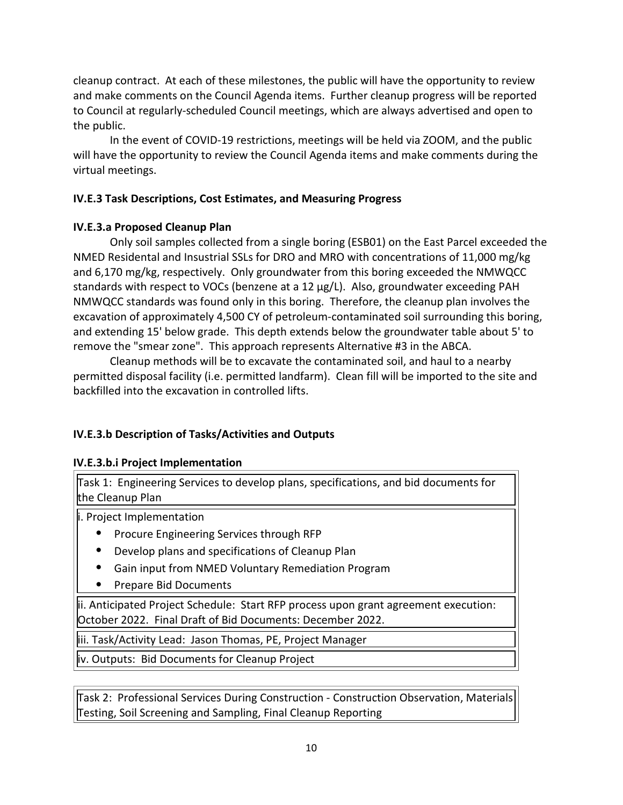cleanup contract. At each of these milestones, the public will have the opportunity to review and make comments on the Council Agenda items. Further cleanup progress will be reported to Council at regularly-scheduled Council meetings, which are always advertised and open to the public.

In the event of COVID-19 restrictions, meetings will be held via ZOOM, and the public will have the opportunity to review the Council Agenda items and make comments during the virtual meetings.

## **IV.E.3 Task Descriptions, Cost Estimates, and Measuring Progress**

## **IV.E.3.a Proposed Cleanup Plan**

Only soil samples collected from a single boring (ESB01) on the East Parcel exceeded the NMED Residental and Insustrial SSLs for DRO and MRO with concentrations of 11,000 mg/kg and 6,170 mg/kg, respectively. Only groundwater from this boring exceeded the NMWQCC standards with respect to VOCs (benzene at a 12 µg/L). Also, groundwater exceeding PAH NMWQCC standards was found only in this boring. Therefore, the cleanup plan involves the excavation of approximately 4,500 CY of petroleum-contaminated soil surrounding this boring, and extending 15' below grade. This depth extends below the groundwater table about 5' to remove the "smear zone". This approach represents Alternative #3 in the ABCA.

Cleanup methods will be to excavate the contaminated soil, and haul to a nearby permitted disposal facility (i.e. permitted landfarm). Clean fill will be imported to the site and backfilled into the excavation in controlled lifts.

# **IV.E.3.b Description of Tasks/Activities and Outputs**

## **IV.E.3.b.i Project Implementation**

Task 1: Engineering Services to develop plans, specifications, and bid documents for the Cleanup Plan

i. Project Implementation

- Procure Engineering Services through RFP
- Develop plans and specifications of Cleanup Plan
- Gain input from NMED Voluntary Remediation Program
- Prepare Bid Documents

ii. Anticipated Project Schedule: Start RFP process upon grant agreement execution: October 2022. Final Draft of Bid Documents: December 2022.

iii. Task/Activity Lead: Jason Thomas, PE, Project Manager

iv. Outputs: Bid Documents for Cleanup Project

Task 2: Professional Services During Construction - Construction Observation, Materials Testing, Soil Screening and Sampling, Final Cleanup Reporting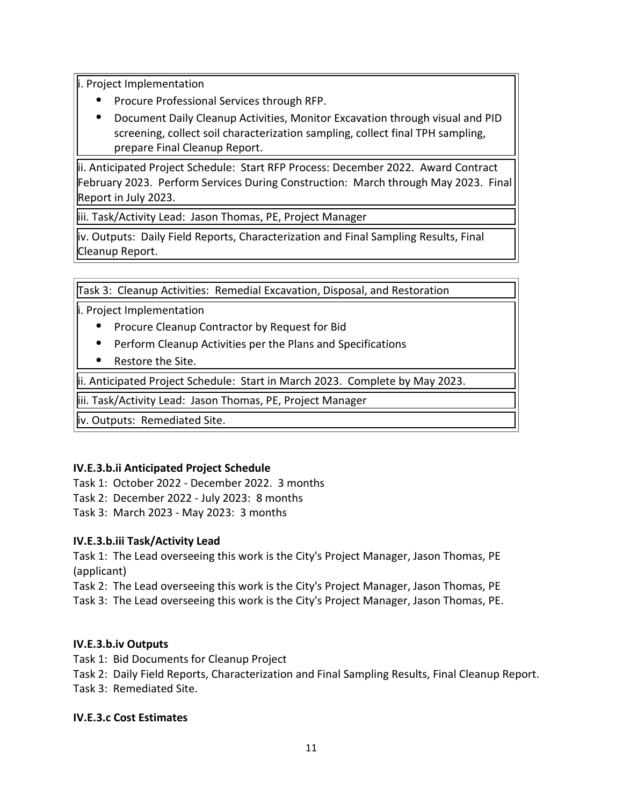Project Implementation

- Procure Professional Services through RFP.
- Document Daily Cleanup Activities, Monitor Excavation through visual and PID screening, collect soil characterization sampling, collect final TPH sampling, prepare Final Cleanup Report.

ii. Anticipated Project Schedule: Start RFP Process: December 2022. Award Contract February 2023. Perform Services During Construction: March through May 2023. Final Report in July 2023.

iii. Task/Activity Lead: Jason Thomas, PE, Project Manager

iv. Outputs: Daily Field Reports, Characterization and Final Sampling Results, Final Cleanup Report.

Task 3: Cleanup Activities: Remedial Excavation, Disposal, and Restoration

i. Project Implementation

- Procure Cleanup Contractor by Request for Bid
- Perform Cleanup Activities per the Plans and Specifications
- Restore the Site.

ii. Anticipated Project Schedule: Start in March 2023. Complete by May 2023.

iii. Task/Activity Lead: Jason Thomas, PE, Project Manager

iv. Outputs: Remediated Site.

## **IV.E.3.b.ii Anticipated Project Schedule**

Task 1: October 2022 - December 2022. 3 months Task 2: December 2022 - July 2023: 8 months

Task 3: March 2023 - May 2023: 3 months

# **IV.E.3.b.iii Task/Activity Lead**

Task 1: The Lead overseeing this work is the City's Project Manager, Jason Thomas, PE (applicant)

Task 2: The Lead overseeing this work is the City's Project Manager, Jason Thomas, PE

Task 3: The Lead overseeing this work is the City's Project Manager, Jason Thomas, PE.

# **IV.E.3.b.iv Outputs**

Task 1: Bid Documents for Cleanup Project

Task 2: Daily Field Reports, Characterization and Final Sampling Results, Final Cleanup Report. Task 3: Remediated Site.

## **IV.E.3.c Cost Estimates**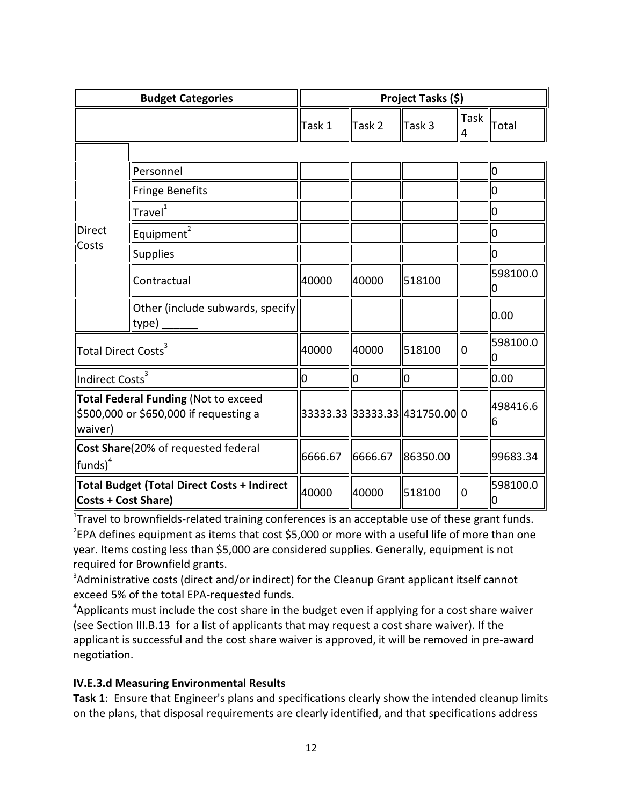| <b>Budget Categories</b>                                                                         |                                           | Project Tasks (\$) |         |                                |                  |                |  |
|--------------------------------------------------------------------------------------------------|-------------------------------------------|--------------------|---------|--------------------------------|------------------|----------------|--|
|                                                                                                  |                                           | Task 1             | Task 2  | Task 3                         | <b>Task</b><br>4 | Total          |  |
|                                                                                                  |                                           |                    |         |                                |                  |                |  |
| <b>Direct</b><br>Costs                                                                           | Personnel                                 |                    |         |                                |                  | O              |  |
|                                                                                                  | <b>Fringe Benefits</b>                    |                    |         |                                |                  | 0              |  |
|                                                                                                  | Travel <sup>1</sup>                       |                    |         |                                |                  | 0              |  |
|                                                                                                  | Equipment <sup>2</sup>                    |                    |         |                                |                  | 0              |  |
|                                                                                                  | <b>Supplies</b>                           |                    |         |                                |                  | 0              |  |
|                                                                                                  | Contractual                               | 40000              | 40000   | 518100                         |                  | 598100.0<br>0  |  |
|                                                                                                  | Other (include subwards, specify<br>type) |                    |         |                                |                  | 0.00           |  |
| Total Direct Costs <sup>3</sup>                                                                  |                                           | 40000              | 40000   | 518100                         | Iо               | 598100.0<br>0  |  |
| Indirect Costs <sup>3</sup>                                                                      |                                           | 0                  | Ю       | 10                             |                  | 0.00           |  |
| <b>Total Federal Funding (Not to exceed</b><br>\$500,000 or \$650,000 if requesting a<br>waiver) |                                           |                    |         | 33333.33 333333.33 431750.00 0 |                  | 498416.6<br>6  |  |
| Cost Share(20% of requested federal<br>$funds)$ <sup>4</sup>                                     |                                           | 6666.67            | 6666.67 | 86350.00                       |                  | 99683.34       |  |
| <b>Total Budget (Total Direct Costs + Indirect</b><br><b>Costs + Cost Share)</b>                 |                                           | 40000              | 40000   | 518100                         | lЮ               | 598100.0<br>l0 |  |

<sup>1</sup>Travel to brownfields-related training conferences is an acceptable use of these grant funds.  $2$ EPA defines equipment as items that cost \$5,000 or more with a useful life of more than one year. Items costing less than \$5,000 are considered supplies. Generally, equipment is not required for Brownfield grants.

 $3$ Administrative costs (direct and/or indirect) for the Cleanup Grant applicant itself cannot exceed 5% of the total EPA-requested funds.

<sup>4</sup>Applicants must include the cost share in the budget even if applying for a cost share waiver (see Section III.B.13 for a list of applicants that may request a cost share waiver). If the applicant is successful and the cost share waiver is approved, it will be removed in pre-award negotiation.

## **IV.E.3.d Measuring Environmental Results**

**Task 1**: Ensure that Engineer's plans and specifications clearly show the intended cleanup limits on the plans, that disposal requirements are clearly identified, and that specifications address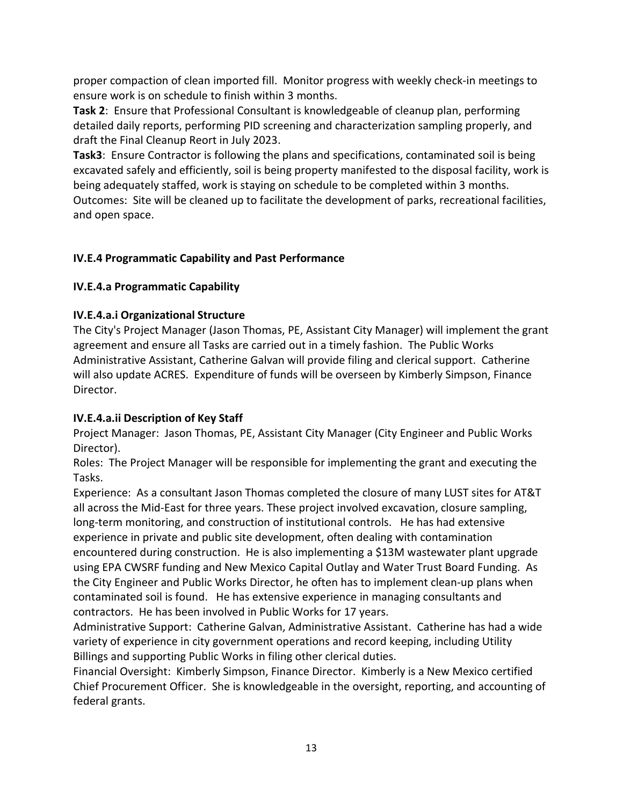proper compaction of clean imported fill. Monitor progress with weekly check-in meetings to ensure work is on schedule to finish within 3 months.

**Task 2**: Ensure that Professional Consultant is knowledgeable of cleanup plan, performing detailed daily reports, performing PID screening and characterization sampling properly, and draft the Final Cleanup Reort in July 2023.

**Task3**: Ensure Contractor is following the plans and specifications, contaminated soil is being excavated safely and efficiently, soil is being property manifested to the disposal facility, work is being adequately staffed, work is staying on schedule to be completed within 3 months. Outcomes: Site will be cleaned up to facilitate the development of parks, recreational facilities, and open space.

# **IV.E.4 Programmatic Capability and Past Performance**

# **IV.E.4.a Programmatic Capability**

# **IV.E.4.a.i Organizational Structure**

The City's Project Manager (Jason Thomas, PE, Assistant City Manager) will implement the grant agreement and ensure all Tasks are carried out in a timely fashion. The Public Works Administrative Assistant, Catherine Galvan will provide filing and clerical support. Catherine will also update ACRES. Expenditure of funds will be overseen by Kimberly Simpson, Finance Director.

# **IV.E.4.a.ii Description of Key Staff**

Project Manager: Jason Thomas, PE, Assistant City Manager (City Engineer and Public Works Director).

Roles: The Project Manager will be responsible for implementing the grant and executing the Tasks.

Experience: As a consultant Jason Thomas completed the closure of many LUST sites for AT&T all across the Mid-East for three years. These project involved excavation, closure sampling, long-term monitoring, and construction of institutional controls. He has had extensive experience in private and public site development, often dealing with contamination encountered during construction. He is also implementing a \$13M wastewater plant upgrade using EPA CWSRF funding and New Mexico Capital Outlay and Water Trust Board Funding. As the City Engineer and Public Works Director, he often has to implement clean-up plans when contaminated soil is found. He has extensive experience in managing consultants and contractors. He has been involved in Public Works for 17 years.

Administrative Support: Catherine Galvan, Administrative Assistant. Catherine has had a wide variety of experience in city government operations and record keeping, including Utility Billings and supporting Public Works in filing other clerical duties.

Financial Oversight: Kimberly Simpson, Finance Director. Kimberly is a New Mexico certified Chief Procurement Officer. She is knowledgeable in the oversight, reporting, and accounting of federal grants.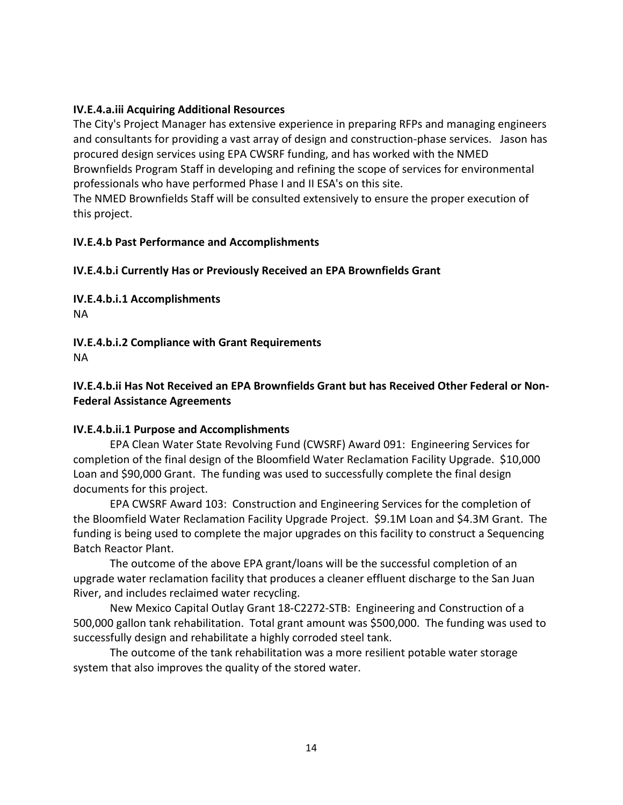#### **IV.E.4.a.iii Acquiring Additional Resources**

The City's Project Manager has extensive experience in preparing RFPs and managing engineers and consultants for providing a vast array of design and construction-phase services. Jason has procured design services using EPA CWSRF funding, and has worked with the NMED Brownfields Program Staff in developing and refining the scope of services for environmental professionals who have performed Phase I and II ESA's on this site.

The NMED Brownfields Staff will be consulted extensively to ensure the proper execution of this project.

#### **IV.E.4.b Past Performance and Accomplishments**

#### **IV.E.4.b.i Currently Has or Previously Received an EPA Brownfields Grant**

**IV.E.4.b.i.1 Accomplishments** NA

**IV.E.4.b.i.2 Compliance with Grant Requirements** NA

## **IV.E.4.b.ii Has Not Received an EPA Brownfields Grant but has Received Other Federal or Non-Federal Assistance Agreements**

#### **IV.E.4.b.ii.1 Purpose and Accomplishments**

EPA Clean Water State Revolving Fund (CWSRF) Award 091: Engineering Services for completion of the final design of the Bloomfield Water Reclamation Facility Upgrade. \$10,000 Loan and \$90,000 Grant. The funding was used to successfully complete the final design documents for this project.

EPA CWSRF Award 103: Construction and Engineering Services for the completion of the Bloomfield Water Reclamation Facility Upgrade Project. \$9.1M Loan and \$4.3M Grant. The funding is being used to complete the major upgrades on this facility to construct a Sequencing Batch Reactor Plant.

The outcome of the above EPA grant/loans will be the successful completion of an upgrade water reclamation facility that produces a cleaner effluent discharge to the San Juan River, and includes reclaimed water recycling.

New Mexico Capital Outlay Grant 18-C2272-STB: Engineering and Construction of a 500,000 gallon tank rehabilitation. Total grant amount was \$500,000. The funding was used to successfully design and rehabilitate a highly corroded steel tank.

The outcome of the tank rehabilitation was a more resilient potable water storage system that also improves the quality of the stored water.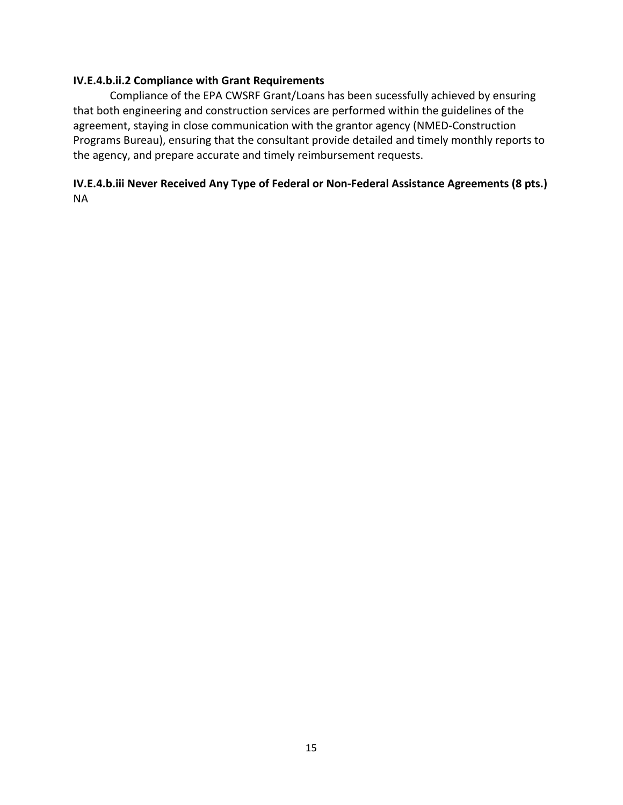#### **IV.E.4.b.ii.2 Compliance with Grant Requirements**

Compliance of the EPA CWSRF Grant/Loans has been sucessfully achieved by ensuring that both engineering and construction services are performed within the guidelines of the agreement, staying in close communication with the grantor agency (NMED-Construction Programs Bureau), ensuring that the consultant provide detailed and timely monthly reports to the agency, and prepare accurate and timely reimbursement requests.

## **IV.E.4.b.iii Never Received Any Type of Federal or Non-Federal Assistance Agreements (8 pts.)** NA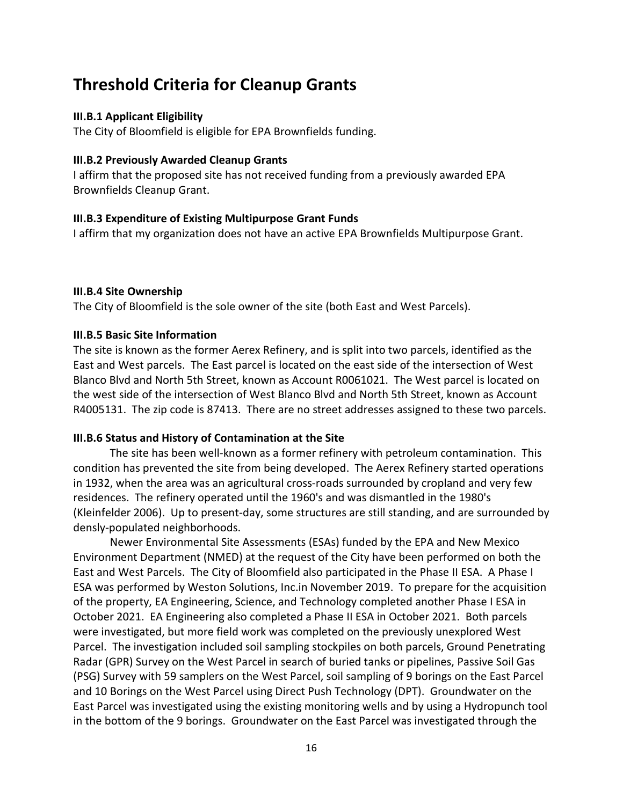# **Threshold Criteria for Cleanup Grants**

#### **III.B.1 Applicant Eligibility**

The City of Bloomfield is eligible for EPA Brownfields funding.

#### **III.B.2 Previously Awarded Cleanup Grants**

I affirm that the proposed site has not received funding from a previously awarded EPA Brownfields Cleanup Grant.

#### **III.B.3 Expenditure of Existing Multipurpose Grant Funds**

I affirm that my organization does not have an active EPA Brownfields Multipurpose Grant.

#### **III.B.4 Site Ownership**

The City of Bloomfield is the sole owner of the site (both East and West Parcels).

#### **III.B.5 Basic Site Information**

The site is known as the former Aerex Refinery, and is split into two parcels, identified as the East and West parcels. The East parcel is located on the east side of the intersection of West Blanco Blvd and North 5th Street, known as Account R0061021. The West parcel is located on the west side of the intersection of West Blanco Blvd and North 5th Street, known as Account R4005131. The zip code is 87413. There are no street addresses assigned to these two parcels.

#### **III.B.6 Status and History of Contamination at the Site**

The site has been well-known as a former refinery with petroleum contamination. This condition has prevented the site from being developed. The Aerex Refinery started operations in 1932, when the area was an agricultural cross-roads surrounded by cropland and very few residences. The refinery operated until the 1960's and was dismantled in the 1980's (Kleinfelder 2006). Up to present-day, some structures are still standing, and are surrounded by densly-populated neighborhoods.

Newer Environmental Site Assessments (ESAs) funded by the EPA and New Mexico Environment Department (NMED) at the request of the City have been performed on both the East and West Parcels. The City of Bloomfield also participated in the Phase II ESA. A Phase I ESA was performed by Weston Solutions, Inc.in November 2019. To prepare for the acquisition of the property, EA Engineering, Science, and Technology completed another Phase I ESA in October 2021. EA Engineering also completed a Phase II ESA in October 2021. Both parcels were investigated, but more field work was completed on the previously unexplored West Parcel. The investigation included soil sampling stockpiles on both parcels, Ground Penetrating Radar (GPR) Survey on the West Parcel in search of buried tanks or pipelines, Passive Soil Gas (PSG) Survey with 59 samplers on the West Parcel, soil sampling of 9 borings on the East Parcel and 10 Borings on the West Parcel using Direct Push Technology (DPT). Groundwater on the East Parcel was investigated using the existing monitoring wells and by using a Hydropunch tool in the bottom of the 9 borings. Groundwater on the East Parcel was investigated through the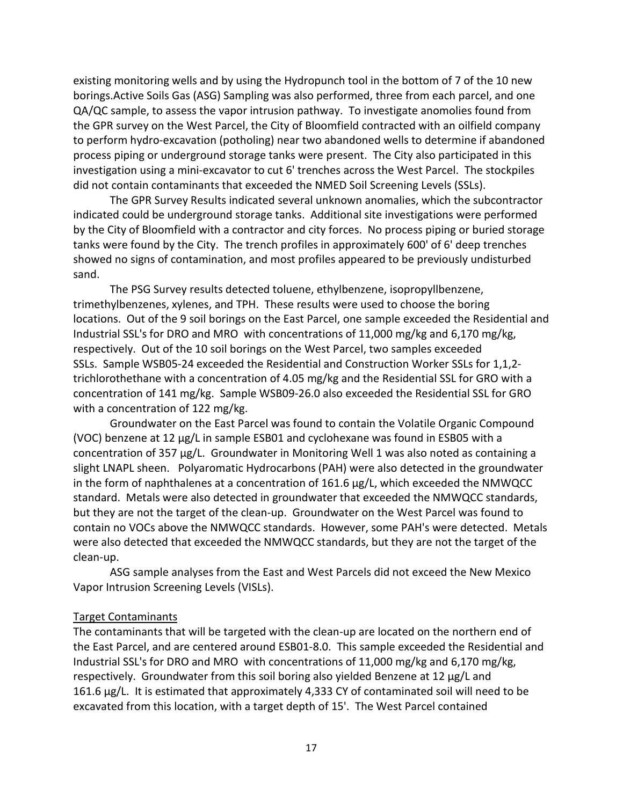existing monitoring wells and by using the Hydropunch tool in the bottom of 7 of the 10 new borings.Active Soils Gas (ASG) Sampling was also performed, three from each parcel, and one QA/QC sample, to assess the vapor intrusion pathway. To investigate anomolies found from the GPR survey on the West Parcel, the City of Bloomfield contracted with an oilfield company to perform hydro-excavation (potholing) near two abandoned wells to determine if abandoned process piping or underground storage tanks were present. The City also participated in this investigation using a mini-excavator to cut 6' trenches across the West Parcel. The stockpiles did not contain contaminants that exceeded the NMED Soil Screening Levels (SSLs).

The GPR Survey Results indicated several unknown anomalies, which the subcontractor indicated could be underground storage tanks. Additional site investigations were performed by the City of Bloomfield with a contractor and city forces. No process piping or buried storage tanks were found by the City. The trench profiles in approximately 600' of 6' deep trenches showed no signs of contamination, and most profiles appeared to be previously undisturbed sand.

The PSG Survey results detected toluene, ethylbenzene, isopropyllbenzene, trimethylbenzenes, xylenes, and TPH. These results were used to choose the boring locations. Out of the 9 soil borings on the East Parcel, one sample exceeded the Residential and Industrial SSL's for DRO and MRO with concentrations of 11,000 mg/kg and 6,170 mg/kg, respectively. Out of the 10 soil borings on the West Parcel, two samples exceeded SSLs. Sample WSB05-24 exceeded the Residential and Construction Worker SSLs for 1,1,2 trichlorothethane with a concentration of 4.05 mg/kg and the Residential SSL for GRO with a concentration of 141 mg/kg. Sample WSB09-26.0 also exceeded the Residential SSL for GRO with a concentration of 122 mg/kg.

Groundwater on the East Parcel was found to contain the Volatile Organic Compound (VOC) benzene at 12 µg/L in sample ESB01 and cyclohexane was found in ESB05 with a concentration of 357  $\mu$ g/L. Groundwater in Monitoring Well 1 was also noted as containing a slight LNAPL sheen. Polyaromatic Hydrocarbons (PAH) were also detected in the groundwater in the form of naphthalenes at a concentration of  $161.6 \mu g/L$ , which exceeded the NMWQCC standard. Metals were also detected in groundwater that exceeded the NMWQCC standards, but they are not the target of the clean-up. Groundwater on the West Parcel was found to contain no VOCs above the NMWQCC standards. However, some PAH's were detected. Metals were also detected that exceeded the NMWQCC standards, but they are not the target of the clean-up.

ASG sample analyses from the East and West Parcels did not exceed the New Mexico Vapor Intrusion Screening Levels (VISLs).

#### Target Contaminants

The contaminants that will be targeted with the clean-up are located on the northern end of the East Parcel, and are centered around ESB01-8.0. This sample exceeded the Residential and Industrial SSL's for DRO and MRO with concentrations of 11,000 mg/kg and 6,170 mg/kg, respectively. Groundwater from this soil boring also yielded Benzene at 12 µg/L and 161.6 µg/L. It is estimated that approximately 4,333 CY of contaminated soil will need to be excavated from this location, with a target depth of 15'. The West Parcel contained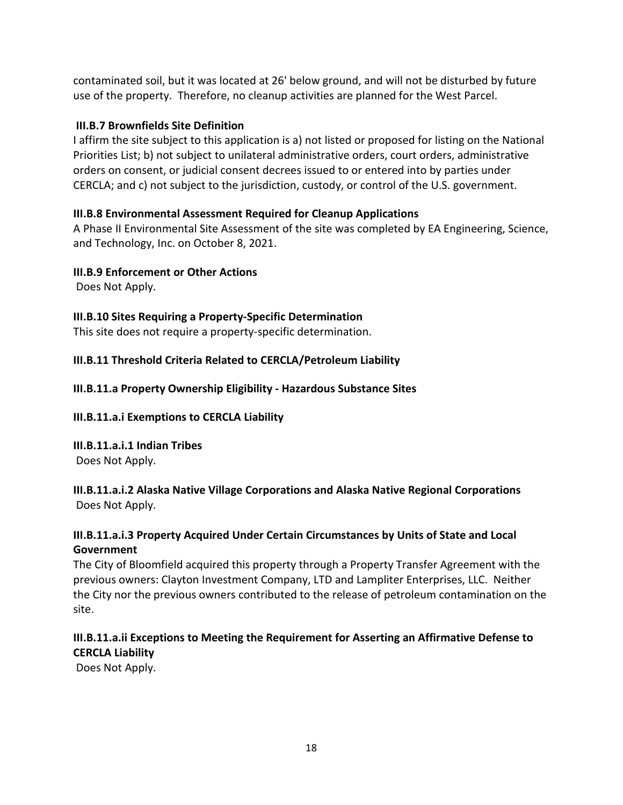contaminated soil, but it was located at 26' below ground, and will not be disturbed by future use of the property. Therefore, no cleanup activities are planned for the West Parcel.

## **III.B.7 Brownfields Site Definition**

I affirm the site subject to this application is a) not listed or proposed for listing on the National Priorities List; b) not subject to unilateral administrative orders, court orders, administrative orders on consent, or judicial consent decrees issued to or entered into by parties under CERCLA; and c) not subject to the jurisdiction, custody, or control of the U.S. government.

# **III.B.8 Environmental Assessment Required for Cleanup Applications**

A Phase II Environmental Site Assessment of the site was completed by EA Engineering, Science, and Technology, Inc. on October 8, 2021.

## **III.B.9 Enforcement or Other Actions**

Does Not Apply.

# **III.B.10 Sites Requiring a Property-Specific Determination**

This site does not require a property-specific determination.

# **III.B.11 Threshold Criteria Related to CERCLA/Petroleum Liability**

# **III.B.11.a Property Ownership Eligibility - Hazardous Substance Sites**

## **III.B.11.a.i Exemptions to CERCLA Liability**

**III.B.11.a.i.1 Indian Tribes** Does Not Apply.

# **III.B.11.a.i.2 Alaska Native Village Corporations and Alaska Native Regional Corporations** Does Not Apply.

# **III.B.11.a.i.3 Property Acquired Under Certain Circumstances by Units of State and Local Government**

The City of Bloomfield acquired this property through a Property Transfer Agreement with the previous owners: Clayton Investment Company, LTD and Lampliter Enterprises, LLC. Neither the City nor the previous owners contributed to the release of petroleum contamination on the site.

# **III.B.11.a.ii Exceptions to Meeting the Requirement for Asserting an Affirmative Defense to CERCLA Liability**

Does Not Apply.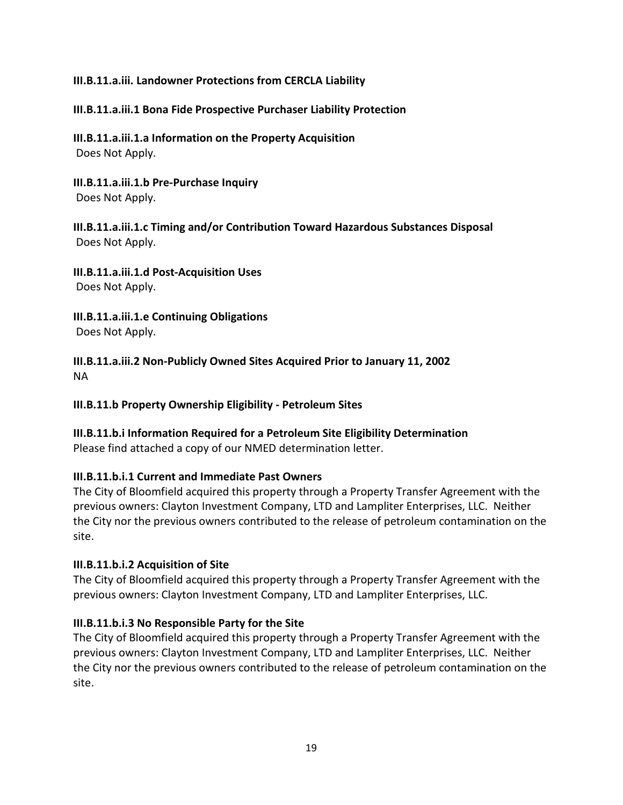#### **III.B.11.a.iii. Landowner Protections from CERCLA Liability**

#### **III.B.11.a.iii.1 Bona Fide Prospective Purchaser Liability Protection**

**III.B.11.a.iii.1.a Information on the Property Acquisition** Does Not Apply.

**III.B.11.a.iii.1.b Pre-Purchase Inquiry** Does Not Apply.

**III.B.11.a.iii.1.c Timing and/or Contribution Toward Hazardous Substances Disposal** Does Not Apply.

**III.B.11.a.iii.1.d Post-Acquisition Uses** Does Not Apply.

**III.B.11.a.iii.1.e Continuing Obligations** Does Not Apply.

**III.B.11.a.iii.2 Non-Publicly Owned Sites Acquired Prior to January 11, 2002** NA

**III.B.11.b Property Ownership Eligibility - Petroleum Sites**

**III.B.11.b.i Information Required for a Petroleum Site Eligibility Determination**

Please find attached a copy of our NMED determination letter.

#### **III.B.11.b.i.1 Current and Immediate Past Owners**

The City of Bloomfield acquired this property through a Property Transfer Agreement with the previous owners: Clayton Investment Company, LTD and Lampliter Enterprises, LLC. Neither the City nor the previous owners contributed to the release of petroleum contamination on the site.

#### **III.B.11.b.i.2 Acquisition of Site**

The City of Bloomfield acquired this property through a Property Transfer Agreement with the previous owners: Clayton Investment Company, LTD and Lampliter Enterprises, LLC.

## **III.B.11.b.i.3 No Responsible Party for the Site**

The City of Bloomfield acquired this property through a Property Transfer Agreement with the previous owners: Clayton Investment Company, LTD and Lampliter Enterprises, LLC. Neither the City nor the previous owners contributed to the release of petroleum contamination on the site.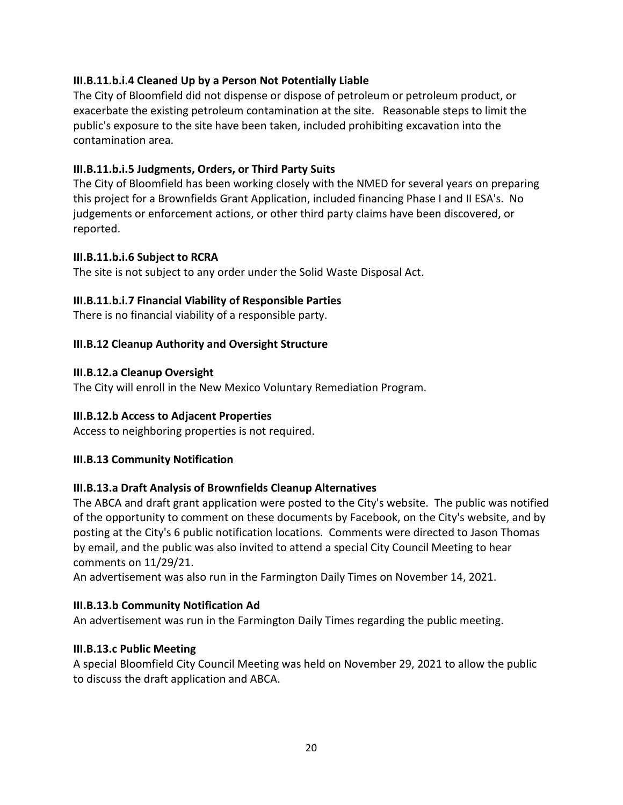## **III.B.11.b.i.4 Cleaned Up by a Person Not Potentially Liable**

The City of Bloomfield did not dispense or dispose of petroleum or petroleum product, or exacerbate the existing petroleum contamination at the site. Reasonable steps to limit the public's exposure to the site have been taken, included prohibiting excavation into the contamination area.

## **III.B.11.b.i.5 Judgments, Orders, or Third Party Suits**

The City of Bloomfield has been working closely with the NMED for several years on preparing this project for a Brownfields Grant Application, included financing Phase I and II ESA's. No judgements or enforcement actions, or other third party claims have been discovered, or reported.

## **III.B.11.b.i.6 Subject to RCRA**

The site is not subject to any order under the Solid Waste Disposal Act.

## **III.B.11.b.i.7 Financial Viability of Responsible Parties**

There is no financial viability of a responsible party.

#### **III.B.12 Cleanup Authority and Oversight Structure**

#### **III.B.12.a Cleanup Oversight**

The City will enroll in the New Mexico Voluntary Remediation Program.

## **III.B.12.b Access to Adjacent Properties**

Access to neighboring properties is not required.

## **III.B.13 Community Notification**

## **III.B.13.a Draft Analysis of Brownfields Cleanup Alternatives**

The ABCA and draft grant application were posted to the City's website. The public was notified of the opportunity to comment on these documents by Facebook, on the City's website, and by posting at the City's 6 public notification locations. Comments were directed to Jason Thomas by email, and the public was also invited to attend a special City Council Meeting to hear comments on 11/29/21.

An advertisement was also run in the Farmington Daily Times on November 14, 2021.

## **III.B.13.b Community Notification Ad**

An advertisement was run in the Farmington Daily Times regarding the public meeting.

## **III.B.13.c Public Meeting**

A special Bloomfield City Council Meeting was held on November 29, 2021 to allow the public to discuss the draft application and ABCA.